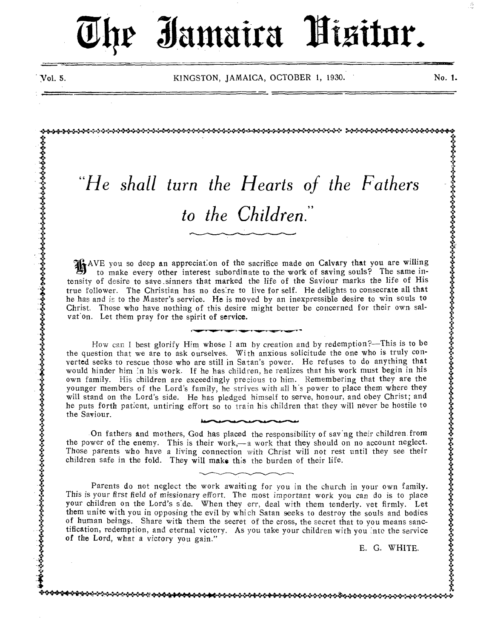# *Ehe Iamaira Kisitor.*

4;

:t•

• t. 4.0

X *.4.* 

 $\ddot{\ddot{\bf v}}$  $\ddot{\ddot{\textbf{v}}}$ 

 $\ddot{\ddot{\psi}}$ 

3:

dS

**v** 

.5.

Vol. 5. KINGSTON, JAMAICA, OCTOBER 1, 1930. No. 1.

# *"He shall turn the Hearts of the Fathers to the Children."*

aalamaan kun sel ka sababahan sahara sahara sahara sahara sahara sahara sahara sahara sahara da da sahara saha

AVE you so deep an appreciation of the sacrifice made on Calvary that you are willing to make every other interest subordinate to the work of saving souls? The same intensity of desire to save.sinners that marked the life of the Saviour marks the life of His true follower. The Christian has no desire to live for self. He delights to consecrate all that he has and is to the Master's service. He is moved by an inexpressible desire to win souls to Christ. Those who have nothing of this desire might better be concerned for their own salvat'on. Let them pray for the spirit of service.

How can I best glorify Him whose I am by creation and by redemption?—This is to be the question that we are to ask ourselves. With anxious solicitude the one who is truly converted seeks to rescue those who are still in Satan's power. He refuses to do anything that would hinder him in his work. If he has children, he realizes that his work must begin in his own family. His children are exceedingly precious to him. Remembering that they are the younger members of the Lord's family, he strives with all h's power to place them where they will stand on the Lord's side. He has pledged himself to serve, honour, and obey Christ; and he puts forth patient, untiring effort so to train his children that they will never be hostile to the Saviour.

On fathers and mothers, God has placed the responsibility of saving their children from the power of the enemy. This is their work,—a work that they should on no account neglect. Those parents who have a living connection with Christ will not rest until they see their children safe in the fold. They will make this the burden of their life.

Parents do not neglect the work awaiting for you in the church in your own family. This is your first field of missionary effort. The most important work you can do is to place your children on the Lord's side. When they err, deal with them tenderly. vet firmly. Let them unite with you in opposing the evil by which Satan seeks to destroy the souls and bodies of human beings. Share with them the secret of the cross, the secret that to you means sanctification, redemption, and eternal victory. As you take your children with you into the service of the Lord, what a victory you gain."

E. G. WHITE.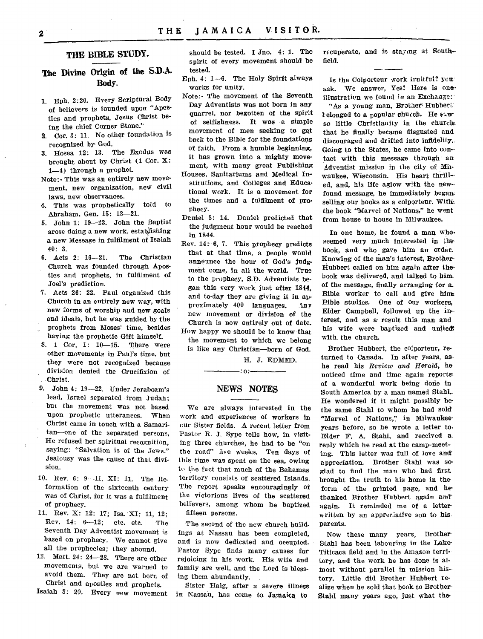#### **THE BIBLE STUDY.**

#### **The Divine Origin of the S.D.A. Body.**

- 1. Eph. 2:20. Every Scriptural Body of believers is founded upon "Apostles and prophets, Jesus Christ being the chief Corner Stone?'
- 2. Cor. 3: 11. No other foundation is recognized by God.
- 3. Hosea 12: 13. The Exodus was brought about by Christ (1 Cor. X: 1-4) through a prophet.
- Note:- This was an entirely new movement, new organization, new civil laws, new observances.
- 4. This was prophetically told to Abraham. Gen. 15: 13-21.
- 5. John 1: 19-23. John the Baptist arose doing a new work, establishing a new Message in fulfilment of Isaiah 40: 3.
- 6. Acts 2: 16-21. The Christian Church was founded through Apostles and prophets, in fulfilment of Joel's prediction.
- 7. Acts 26: 22. Paul organized this Church in an entirely new way, with new forms of worship and new goals and ideals, but he was guided by the prophets from Moses' time, besides having the prophetic Gift himself.
- 8. 1 Cor. 1: 10-15. There were other movements in Paul's time. but they were not recognized because division denied the Crucifixion of Christ.
- 9. John 4: 19-22. Under Jeraboam's lead, Israel separated from Judah; but the movement was not based upon prophetic utterances. When Christ came in touch with a Samaritan—one of the separated persons, He refused her spiritual recognition, saying: "Salvation is of the Jews." Jealousy was the cause of that division.
- 10. Rev. 6: 9-11. XI: 11. The Reformation of the sixteenth century was of Christ, for it was a fulfilment of prophecy.
- 11. Rev. X: 12: 17; Isa. XI: 11, 12; Rev. 14: 6-12; etc. etc. The Seventh Day Adventist movement is based on prophecy. We cannot give all the prophecies; they abound.
- 12. Matt. 24: 24-28. There are other movements, but we are warned to avoid them. They are not born of Christ and apostles and prophets.

Isaiah 8: 20. Every new movement

should be tested. I Jno. 4: 1. The spirit of every movement should be tested.

- Eph. 4: 1-6. The Holy Spirit always works for unity.
- Note:- The movement of the Seventh Day Adventists was not born in any quarrel, nor begotten of the spirit of selfishness. It was a simple movement of men seeking to get back to the Bible for the foundations of faith. From a humble beginning, it has grown into a mighty movement, with many great Publishing
- Houses, Sanitariums and Medical Institutions, and Colleges and Educational work. It is a movement for the times and a fulfilment of prophecy.
- Daniel 8: 14. Daniel predicted that the judgment hour would be reached in 1844.
- Rev. 14: 6, 7. This prophecy predicts that at that time, a people would announce the hour of God's judgment come, in all the world. True to the prophecy, S.D. Adventists began this very work just after 1814, and to-day they are giving it in approximately 400 languages. 'inv new movement or division of the Church is now entirely out of date.
- How happy we should be to know that the movement to which we belong is like any Christian—born of God.

H. J. EDMED.

:0:

#### **NEWS NOTES**

We are always interested in the work and experiences of workers in our Sister fields. A recent letter from Pastor R. J. Sype tells how, in visiting three churches, he had to be "on the road" five weeks. Ten days of this time was spent on the sea, owing to the fact that much of the Bahamas territory consists of scattered Islands. The report speaks encouragingly of the victorious lives of the scattered believers, among whom he baptized fifteen persons.

The second of the new church buildings at Nassau has been completed, and is now dedicated and occupied. Pastor Sype finds many causes for rejoicing in his work. His wife and family are well, and the Lord is blessing them abundantly.

Sister Haig, after a severe illness in Nassau, has come to Jamaica to

recuperate, and is staying at Southfield.

Is the Colporteur work iruitful? you ask. We answer, Yes! Here is one: illustration we found In an Exchange:

"As a young man, Brother Hubbert" relonged to a popular church. He  $x \cdot w$ so little Christianity in the church. that he finally became disgusted and discouraged and drifted into infidelity.. Going to the States, he came into con- tact with this message through an Adventist mission in the city of Milwaukee, Wisconsin. His heart thrill- ed, and, his life aglow with the newfound message, he immediately began. selling our books as a colporteur. With the book "Marvel of Nations," he went from house to house in Milwaukee.

In one home, he found a man whoseemed very much interested in the book, and who gave him an order. Knowing of the man's interest, Brother-Hubbert called on him again after thebook was delivered, and talked to him of the message, finally arranging for a. Bible worker to call and give him-Bible studies. One of our workers, Elder Campbell, followed up the interest, and as a result this man and his wife were baptized and unite& with the church.

Brother Hubbert, the colporteur, returned to Canada. In after years, ashe read his *Review and Herald*, he noticed time and time again reports. of a wonderful work being done in South America by a man named Stahl\_ He wondered if it might possibly be• the same Stahl to whom he had sold "Marvel of Nations," in Milwaukeeyears before, so he wrote a letter to. Elder F. A. Stahl, and received a reply which he read at the camp-meeting. This letter was full of love and appreciation. Brother Stahl was soglad to find the man who had first brought the truth to his home in the form of the printed page, and he thanked Biother Hubbert again and again. It reminded me of a letterwritten by an appreciative son to his parents.

Now these many years, Brother-Stahl has been labouring in the Lake-Titicaca field and in the Amazon territory, and the work he has done is almost without parallel in mission history. Little did Brother Hubbert realize when he sold that book to Brother-Stahl many years ago, just what the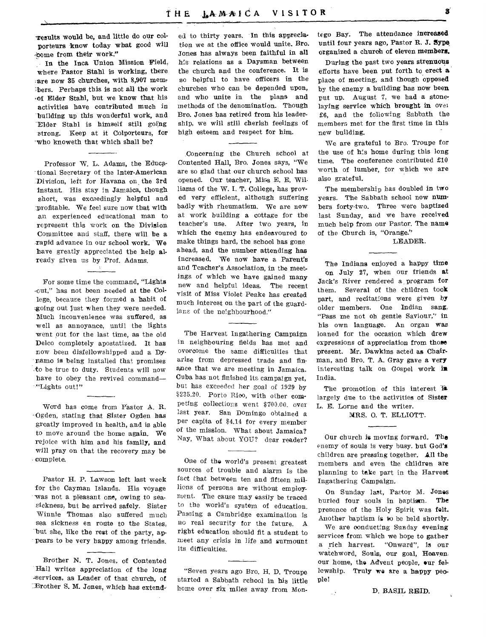**'results would be, and little do our colporteurs know today what good will -nome from their work."** 

**In the Inca Union Mission Field, where Pastor Stahl is working, there .are now 35 churches, with 8,907 memt -hers. Perhaps this is not all the work -of Elder Stahl, but we know that his activities have contributed much in building up this wonderful work, and Elder Stahl is himself still going strong. Keep at it Colporteurs, for -who knoweth that which shall be?** 

**Professor W. L. Adams, the Educational Secretary of the Inter-American**  Division, left for Havana on the 3rd **instant. His stay in Jamaica, though**  short, was exceedingly helpful and **profitable. We feel sure now that with an experienced educational man to represent this work on the Division Committee and staff, there will be a rapid advance in our school work. We have greatly appreciated the help already given** us by Prof. Adams.

**For some** time the command, **"Lights**  -out," has not been needed **at the College,** because they formed a habit of going out just when they were needed. Much inconvenience was **suffered, as**  well as annoyance, until the lights went put for the last time, as the old Delco completely apostatized. **It has**  now been disfellowshipped and **a Dynamo is being** installed that promises to be true to duty. Students will now have to obey the revived command— "Lights out!"

Word has come from Pastor **A.** R. '-Ogden, stating that Sister Ogden has greatly improved in health, and is able to move around the home again. We rejoice with him and his family, and will pray on that the recovery may be complete.

Pastor H. P. **Lawson left** last week for the Cayman Islands. His voyage was not a pleasant one, owing to seasickness, but he arrived safely. Sister Winnie Thomas also suffered much sea sickness en route to the States, but she, like the rest of the party, appears to be very happy among friends.

Brother **N. T. Jones, of Contented Hall writes appreciation of the long -services, as Leader of that church, of**  *<u>Brother S. M. Jones, which has extend-</u>* 

**ed to thirty years. In this appreciation we at the office would unite. Bro. Jones has always been faithful in all**  his **relations as a Daysman between the church and the conference. It is so helpful to have officers in the churches who can be depended** upon, and who unite in the plans and methods of the denomination. Though Bro. Jones has retired from his leadership, we will still cherish feelings of high esteem and respect for him.

Concerning the Church school at Contented Hall, Bro. Jones says, "We are so glad that our church school has opened. Our teacher, Miss E. E. Williams of the W. I. T. College, has proved very efficient, although suffering badly with rheumatism. We are now at work building a cottage for the teacher's use. After two years, in which the enemy has endeavoured to make things hard, the school has gone ahead, and the number **attending has**  increased. We now have a Parent's and Teacher's Association, in the meetings of which we have gained many new and helpful ideas. The recent visit of Miss Violet Peake has created much interest on the part of the guardians of the neighbourhood."

The Harvest Ingathering Campaign in neighbouring fields has met and overcome the same difficulties that arise from depressed trade and **finance** that we are meeting in Jamaica. Cuba has not finished its campaign yet, but has exceeded her goal of 1929 by **\$235.20. Porto Rioo,** with other competing collections went \$700.00. over last year. San Domingo obtained a per capita of \$4.14 for every member of the mission. What about Jamaica? Nay, What about YOU? dear reader?

One of the world's present greatest sources of trouble and alarm is the fact that between ten and fifteen millions of persons are without employment. The cause may easily be traced to the world's system of education. Passing a Cambridge examination is no real security for the future. A **right education should fit a student** to meet any crisis in life and surmount its difficulties.

"Seven years ago Bro. H. D. Troupe started a Sabbath school in his little home over Six miles away from Montego Bay. The **attendance increased until four** years ago, Pastor R. J. Sype\_ **organized a church of eleven members.** 

**During the past two years strenuous efforts have been put forth to erect** *a*  place of meeting, and **though opposed by the enemy a building has now been put up.** August 7, we had a stonelaying **service which brought in** over £6, and the following Sabbath the members met for the first time in this new building.

We are grateful to Bro. Troupe for the use of his home during this long time. The conference contributed £10 worth of lumber, for which we are also grateful.

The membership has doubled in two years. The Sabbath school **now numbers** forty-two. Three were baptized last Sunday, and we have received much help from our Pastor. **The name of the Church is, "Orange."** 

**LEADER.** 

**The Indians** enjoyed a happy **time on July 27, when** our friends *at*  Jack's River rendered a program **for them. Several** of the **children took part,** and recitations were given by older members. One Indian sang, "Pass me not oh gentle Saviour," in his own language. An organ *was*  loaned for the occasion which drew expressions of appreciation **from those present. Mr. Dawkins acted as Chairman, and Bro. T. A. Gray gave a very**  interesting talk on Gospel work is India.

The promotion of this interest is largely due to the activities **of Sister L. E. Lorne and the writer.** 

**MRS. 0. T. ELLIOTT.** 

**Our church is moving forward. The**  enemy of souls is very busy. **but God's**  children are pressing together. **Ail the**  members and even the children are planning to take part in the Harvest Ingathering Campaign.

On Sunday last, Pastor M. Jones buried four souls in baptism. The presence of the Holy Spirit was **felt.**  Another baptism is to be held shortly.

We are oonducting Sunday **evening**  services from which we hope to gather a rich harvest. "Onward", is our watchword, Souls, our goal, Heaven our home, **the** Advent people, our fellowship. Truly **we are a happy people!** 

**D. BASIL REID.** 

 $\mathbb{R}^{\mathbb{Z}}$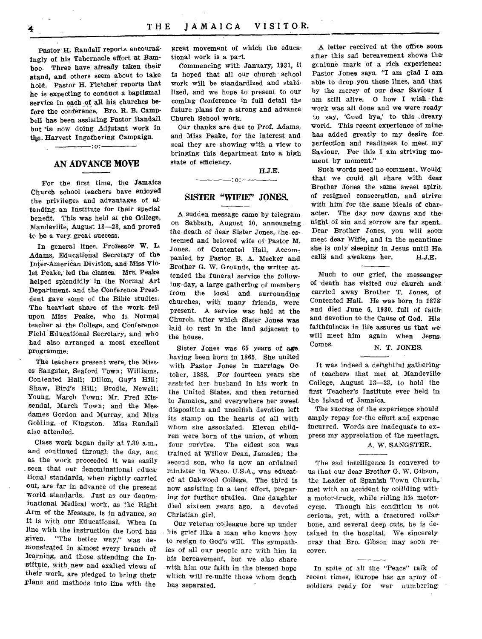Pastor H. Randall reports, encouragingly of his Tabernacle effort at Bamboo. Three have already taken their stand, and others seem about to take hold. Pastor H. Fletcher reports that he is expecting to conduct a baptismal service in each of all his churches before the conference. Bro. R. B. Campbell has been assisting Pastor Randall but is now doing Adjutant work in the Harvest Ingathering Campaign.

#### **AN ADVANCE MOVE**

:o:

For the first time, the Jamaica Church school teachers have enjoyed the privileges and advantages of attending an Institute for their special benefit. This was held at the College, Mandeville, August 13-23, and proved to be a very great success.

In general lines. Professor W. L. Adams, Educational Secretary of the Inter-American Division, and Miss Violet Peake, led the classes. Mrs. Peake helped splendidly in the Normal Art Department, and the Conference President gave some of the Bible studies. The heaviest share of the work- fell upon Miss Peake, who is Normal teacher at the College, and Conference Field Educational Secretary, and who had also arranged a most excellent programme.

The teachers present were, the Misses Sangster, Seaford Town; Williams, Contented Hall; Dillon, Guy's Hill; Shaw, Bird's Hill; Brodie, Newell; Young, March Town; Mr. Fred Kissendal, March Town; and the Mesdames Gordon and Murray, and Miss Golding, of Kingston. Miss Randall also attended.

Class work began daily at 7.30 a.m., and continued through the day, and as the work proceeded it was easily seen that our denominational educational standards, when rightly carried out, are far in advance of the present world standards. Just as our denominational Medical work, as the Right Arm of the Message, is in advance, so it is with our Educational, When in line with the instruction the Lord has *given.* "The better way," **was** demonstrated in almost every branch or learning, and those attending the Institute, with new and exalted **views** of their work, are pledged to bring their Flans and methods into line with the

great movement of which the educational work is a part.

Commencing with January, 1931, it is hoped that all our church school work will be standardized and stabilized, and we hope to present to our coming Conference in full detail the future plans for a strong and advance Church School work.

Our thanks are due to Prof. Adams, and Miss Peake, for the interest and zeal they are showing with a view to bringing this department into a high state of efficiency.

H.J.E.

#### **SISTER "WIFIE" JONES.**

**:o:** 

A sudden message came by telegram on Sabbath, August 10, announcing the death of dear Sister Jones, the esteemed and beloved wife of Pastor M. Jones, of Contented Hall, Accompanied, by Pastor B. A. Meeker and Brother G. W, Grounds, the writer attended the funeral service the following day, a large gathering of members from the local and surrounding churches, with many friends, were present. A service was held at the Church. after which- Sister Jones was laid to rest in the land adjacent to the house.

Sister Jones was 65 years of **ago**  having been born in 1865. She united with Pastor Jones in marriage October, 1888. For fourteen years she assisted her husband in his work in the United States, and then returned to Jamaica, and everywhere her sweet disposition and unselfish devotion left its stamp on the hearts of all with whom she associated. Eleven children were born of the union, of whom four survive. The eldest son was trained at Willow Dean, Jamaica; the second son, who is now an ordained minister in Waco. U.S.A., was educated at Oakwood College. The third is now assisting in a tent effort, preparing for further studies. One daughter died sixteen years ago, a devoted Christian girl.

Our veteran colleague bore up under his grief like a man who knows how to resign to God's will. The sympathies of all our people are with him in his bereavement, but- we also share with him our faith in the blessed hope which will re-unite those whom death has separated.

A letter received at the office Boom after this sad bereavement shows the gcniune mark of a rich experience: Pastor Jones says. "I am glad I ant able to drop you these lines, and that by the mercy of our dear Saviour I am still alive. 0 how I wish the work was all done and we were ready to say, 'Good bye,' to this \_dreary world. This recent experience of mine has added greatly to my desire for perfection and readiness to meet my Saviour. For this I am striving moment by moment."

Such words need no comment. Would that we could all share with dear Brother Jones the same sweet spirit of resigned consecration, and strive, with him for the same ideals of char- acter. The day now dawns and thenight of sin and sorrow are far spent.. Dear Brother Jones, you will soot meet dear Wifie, and in the meantime she is only sleeping in Jesus until He: calls and awakens her. H.J.E.

Much to our grief, the messenger of death has visited our church an& carried away Brother T. Jones, of Contented Hall. He was born In 1878: and died June 6, 1930. full of faith and devotion to the Cause of God. His faithfulness in life assures us that we will meet him again when Jesus.<br>Comes. N. T. JONES.

It was indeed a delightful gatheringof teachers that met at. Mandeville,' College, August 13-23, to hold the first Teacher's Institute ever held in

The success of the experience should amply repay for the effort and expense incurred. Words are inadequate to express my appreciation of the meetings.

the Island of Jamaica.

#### A. W. SANGSTER.

The sad intelligence is conveyed to us that our dear Brother G. W. Gibson, the Leader of Spanish Town Church, met with an accident by colliding with a motor-truck, while riding his motorcycle. Though his condition is not serious, yet, with a fractured collar bone, and several deep cuts, he is detained in the hospital. We sincerely pray that Bro. Gibson may soon recover.

In spite of all the "Peace" talk of recent times, Europe has an army of soldiers ready for war numbering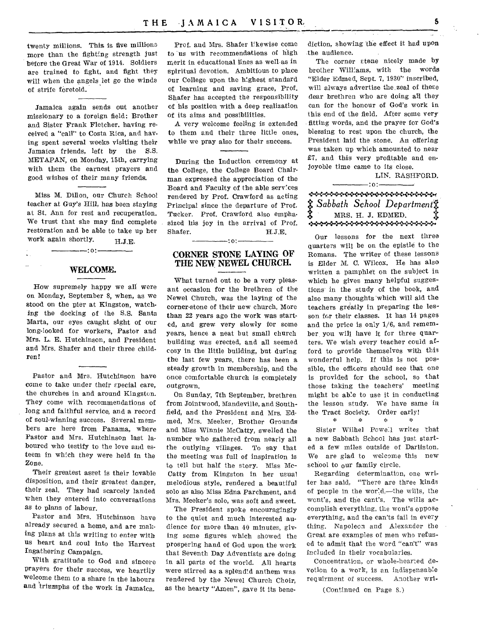twenty millions. This is five millions more than the fighting strength just before the Great War of 1914. Soldiers are trained to fight, and fight they will when the angels let go the winds of strife foretold.

Jamaica again sends out another missionary to a foreign field: Brother and Sister Frank Fletcher. having received a "call" to Costa Rica, and having spent several weeks visiting their Jamaica friends, left by the S.S. METAPAN, on Monday, 15th, carrying with them the earnest prayers and good wishes of their many friends.

Miss M. Dillon, our Church School teacher at Guy's Hill, has been staying at St. Ann for rest and recuperation. We trust that she may find complete restoration and be able to take up her work again shortly. H.J.E.

#### :o:

 $\ddot{\phantom{a}}$ 

#### WELCOME.

How supremely happy we all were on Monday, September 8, when, as we stood on the pier at Kingston, watching the docking of the S.S. Santa Marta, our eyes caught sight of our long-looked for workers, Pastor and Mrs. L. E. Hutchinson, and President and Mrs. Shafer and their three children!

Pastor and Mrs. Hutchinson have come to take under their special care, the churches in and around Kingston. They come with recommendations of long and faithful service, and a record of soul-winning success. Several members are here from Panama, where Pastor and Mrs. Hutchinson last laboured who testify to the love and esteem in which they were held in the Zone.

Their greatest asset is their lovable disposition, and their greatest danger, their zeal. They had scarcely landed when they entered into conversations as to plans of labour.

Pastor and Mrs. Hutchinson have already secured a home, and are making plans at this writing to enter with us heart and soul into the Harvest Ingathering Campaign.

With gratitude to God and sincere prayers for their success, we heartily welcome them to a share in the labours and triumphs of the work in Jamaica.

Prof. and Mrs. Shafer likewise come to us with recommendations of high merit in educational lines as well as in spiritual devotion. Ambitious to place our College upon the highest standard of learning and saving grace, Prof. Shafer has accepted the responsibility of his position with a deep realization of its aims and possibilities.

A very welcome feeling is extended to them and their three little ones, while we pray also for their success.

During the Induction ceremony at the College, the College Board Chairman expressed the appreciation of the Board and Faculty of the able services rendered by Prof. Crawford as acting Principal since the departure of Prof. Tucker. Prof. Crawford also empha• sized his joy in the arrival of Prof. Shafer. H.J.E.

#### $-$ :0: $-$ CORNER STONE LAYING OF THE NEW NEWEL CHURCH.

What turned out to be a very pleasant occasion for the brethren of the Newel Church, was the laying of the corner-stone of their new church. More than 22 years ago the work was started, and grew very slowly for some years, hence a neat but small church building was erected, and all seemed cosy in the little building, but during the last few years, there has been a steady growth in membership, and the once comfortable church is completely outgrown.

On Sunday, 7th September, brethren from Jointwood, Mandeville, and Southfield, and the President and Mrs. Edmed, Mrs. Meeker, Brother Grounds and Miss Winnie McCatty, swelled the number who gathered from nearly all the outlying villages. To say that the meeting was full of inspiration is to tell but half the story. Miss Mc-Catty from Kingston in her usual melodious style, rendered a beautiful solo as also Miss Edna Parchment, and Mrs. Meeker's solo, was soft and sweet.

The President spoke encouragingly to the quiet and much interested audience for more than 40 minutes, giving some figures which showed the prospering hand of God upon the work that Seventh Day Adventists are doing in all parts of the world. All hearts were stirred as a splendid anthem was rendered by the Newel Church Choir, as the hearty "Amen", gave it its benediction, showing the effect it had upon the audience.

The corner stone nicely made by brother Williams, with the words "Elder Edmed, Sept. 7, 1930" inscribed, will always advertise the, zeal of these dear brethren who are doing all they can for the honour of God's work in this end of the field. After some very fitting words, and the prayer for God's blessing to rest upon the church, the President laid the stone. An offering was taken up which amounted to near £7, and this very profitable and enjoyoble time came to its close.

LIN. RASHFORD.

 $\bullet$  +  $\bullet$  +  $\bullet$  +  $\bullet$  +  $\bullet$  +  $\bullet$  +  $\bullet$  +  $\bullet$  +  $\bullet$  +  $\bullet$  +  $\bullet$  +  $\bullet$  +  $\bullet$  +  $\bullet$  +  $\bullet$  +  $\bullet$  +  $\bullet$  +  $\bullet$  +  $\bullet$  +  $\bullet$  +  $\bullet$  +  $\bullet$  +  $\bullet$  +  $\bullet$  +  $\bullet$  +  $\bullet$  +  $\bullet$  +  $\bullet$  +  $\bullet$  +  $\bullet$  +  $\bullet$  +  $\bullet$  $\boldsymbol{\ddot{x}}$  Sabbath School Department $\boldsymbol{\ddot{x}}$  $\ddot{\ddot{\bm{x}}}$  MRS. H. J. EDMED.  $\ddot{\dot{\bm{x}}}$ 

:o:

Our lessons for the next three quarters will be on the epistle to the Romans. The writer of these lessons is Elder M. C. Wilcox. He has also written a pamphlet on the subject in which he gives many helpful suggestions' in the study of the book, and also many thoughts which will aid the teachers greatly in preparing the lesson fc,r their classes. It has 14 pages and the price is only 1/6, and remember you will have it for three quarters. We wish every teacher could afford to provide themselves with this wonderful help, If this is not possible, the officers should see that one is provided for the school, so that those taking the teachers' meeting might be able to use it in conducting the lesson study. We have same in the Tract Society. Order early!

Sister Wilhel Poweil writes 'that a new Sabbath School has just started a few miles outside of Darliston. We are glad to welcome this new school to our family circle.

Regarding determination, one writer has said, "There are three kinds of people in the world,--the wills, the wont's, and the cant's. The wills accomplish everything, the wont's oppose everything, and the can'ts fail in every thing. Napoleon and Alexander the Great are examples of men who refused to admit that the word "can't" was included in their vocabularies.

Concentration, or whole-hearted devotion to a work, is an indispensable requirment of success. Another wri-

(Continued on Page 8.)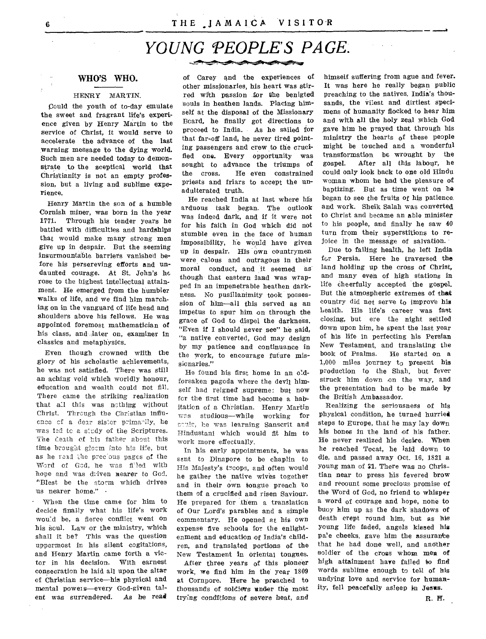## *YOUNG PEOPLE'S PAGE.*

#### WHO'S WHO.

#### HENRY MARTIN.

Could the youth of to-day emulate the sweet and fragrant life's experience given by Henry Martin to the service of Christ, it would serve to accelerate the advance of the last warning message to the dying world. Such men are needed today to demonstrate to the sceptical world that Christianity is not an empty profession, but a living and sublime experience.

Henry Martin the son of a humble Cornish miner, was born in the year 1771. Through his tender years he battled with difficulties and hardships that would make many strong men give up in despair. But the seeming insurmountable barriers vanished before his persereving efforts and undaunted courage. At St. John's he rose to the highest intellectual attainment. He emerged from the humbler walks of life, and we find him marching on in the vanguard of life head and shoulders above his fellows. He was appointed foremost mathematician of his class, and later on, examiner in classics and metaphysics.

Even though crowned wiith the glory of his scholastic achievements, he was not satisfied. There was still an aching void which worldly honour, education and wealth could not fill. There came the striking realization that all this was nothing without Christ. Through the Christian influence of a dear sister primatily, he was lad to a s'cdy of the Scriptures. The death of his father about this time brought gloom into his life, but as he read the precious pages of the Word of God, he was filled with hope and was driven nearer to God. 'Blest be the storm whidh drives us nearer home."

• When the time came for him to decide finally what his life's work wou'd be, a fierce conflict went on his soul. Law or the ministry, which shall it be? This was the question uppermost in his silent cogitations, and Henry Martin came forth a victor in his decision. With earnest consecration he laid all upon the altar of Christian service—his physical and mental powers—every God-given talent was surrendered. As he read

other missionaries, his heart was stir- It was here he really began public<br>red with passion for the benigted preaching to the natives. India's thoured with passion for the benigted preaching to the natives. India's thou-<br>souls in heathen lands. Placing him- sands, the vilest and dirtiest specisouls in heathen lands. Placing him-<br>self at the disposal of the Missionary mens of humanity flocked to hear him self at the disposal of the Missionary mens of humanity flocked to hear him<br>Board, he finally got directions to and with all the holy zeal which God Board, he finally got directions to proceed to India. As he sailed for gave him he prayed that through his that far-off land, he never tired point-<br>initially the hearts of these people<br>ing passengers and crew to the cruci-<br>might be touched and a wonderful ing passengers and crew to the crucifled one. Every opportunity was transformation be wrought by the sought to advance the triumps of gospel. After all this labour, he sought to advance the triumps of gospel.<br>the cross. He even constrained could or the cross. He even constrained could only look back to one old Hindu priests and friars to accept the un- woman whom he had the pleasure of

He reached India at last where his arduous task began. The outlook and work. Sheik Salah was converted was indeed dark, and if it were not to Christ and became an able minister for his faith in God which did not to his people, and finally he saw 40 stumble even in the face of human turn from their superstitions to re-<br>impossibility, he would have given joice in the message of salvation. impossibility, he would have given joice in the message of salvation.<br>In in desnair. His own countrymen. Due to failing health, he left India up in despair. His own countrymen bue to failing health, he left India<br>were calous and outragous in their for Persia. Here he traversed the were calous and outragous in their moral conduct, and it seemed as land holding up the cross of Christ, though that eastern land was wrap- and many even of high stations in ped in an impenetrable heathen dark- life cheerfully accepted the gospel. ness. No pusillanimity took posses- But the atmospheric extremes of that sion of him—all this served as an country did not serve to improve his impetus to spur him on through the health. His life's career was fast grace of God to dispel the darkness. closing, but ere the night settled<br>"Even if I should never see" he said. down upon him, he spent the last year "Even if I should never see" he said,  $\frac{10000 \text{ N}}{1000 \text{ N}}$  his here is need the last year" "a native converted, God may design by my patience and continuance in New Testament, and translating the the work, to encourage future mis-<br>the work, to encourage future misthe work, to encourage future mis-

forsaken pagoda where the devil him- struck him down on the way, and<br>self had reigned supreme: but now the presentation had to be made by self had reigned supreme: but now the presentation had to be the first time had become a happy the British Ambassador. for the first time had become a hab-<br>itation of a Christian. Honry Martin... Realizing the seriousness of his itation of a Christian. Henry Martin was studious—while working for physical condition, he turned hurried<br>could, he was learning Sanscrit and steps to Europe, that he may lay down evale, he was learning Sanscrit and steps to Europe, that he may lay down Hindustani which would fit him to his bones in the land of his father.

sent to Dinapore to be chaplin to die, and passed away Oct. 16, 1821 a<br>His Majesty's treeps and often would young man of \$1. There was no Chris-His Majesty's troops, and often would young man of \$1. There was no Chris-<br>he gather the native wives together tian near to press his fevered brow he gather the native wives together and in their own tongue preach to and recount some precious promise of them of a crucified and risen Saviour. the Word of God, no friend to whisper them of a crucified and risen Saviour. He prepared for them a translation a word of courage and hope, none to of Our Lord's parables and a simple buoy him up as the dark shadows of commentary. He opened at his own death crept round him, but as his expense five schools for the enlight- young life faded, angels kissed his expense five schools for the enlightenment and education of India's child- pa'e cheeks, gave him the assurance ren, and translated portions of the that he had done well, and another New Testament in oriental tongues, soldier of the cross whom men of

work, we find him in the year 1809 words sublime enough to tell of his at Cornpore. Here he preached to undying love and service for humanthousands of soldiers under the most ity, fell peacefully asleep in Jesus. trying conditions of severe heat, and R. H.

of Carey and the experiences of himself suffering from ague and fever.<br>other missionaries his heart was stir- It was here he really began public adulterated truth.<br>He reached India at last where his began to see the fruits of his patience.

sionaries."  $1,000$  miles journey to present his<br>He found his first home in an o'd- production to the Shah, but fever He found his first home in an old- production to the Shah, but fever<br>reaken pageds where the devil him. struck him down on the way, and

his bones in the land of his father. work more effectually. He never realized his desire. When<br>In his early appointments, he was he reached Tocat, he laid down to he reached Tocat, he laid down to<br>die, and passed away Oct. 16, 1821 a After three years of this pioneer high attainment have failed to find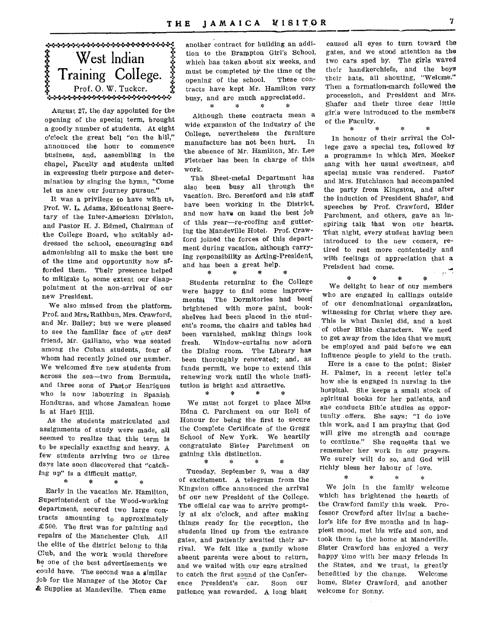

August 27, the day appointed for the opening of the special term, brought a goodly number of students. At eight o'clock the great bell "on the hill," announced the hour to commence business, and, assembling in the chapel, Faculty and students united in expressing their purpose and determination by singing the hymn, "Come let us anew our journey pursue."

It was a privilege to have with us, Prof. W. L. Adams, Educational Secretary of the Inter-American Division, and Pastor H. J. Edmed, Chairman of the College Board, who suitably addressed the school, encouraging and admonishing all to make the best use of the time and opportunity now afforded them. Their presence helped to mitigate to some extent our disappointment at the non-arrival of our new President.

We also missed from the platform, Prof. and Mrs; Rathbun, Mrs. Crawford, and Mr. Bailey; but we were pleased to see the familiar face of our dear friend, Mr. Galliano, who was seated among the Cuban students, four of whom had recently joined our number. We welcomed five new students from across the sea—two from Bermuda, and three sons of Pastor Henriques who is now labouring in Spanish Honduras, and whose Jamaican home is at Hart Hill.

As the students matriculated and assignments of study were made, all seemed 'to realize that this term is to be specially exacting and heavy. A few students arriving two or three days late soon discovered that "catching up" is a difficult matter.

 $\mathbf{z}$ 

Early in the vacation Mr. Hamilton, Superintendent of the Wood-working department, secured two large contracts amounting to approximately £ 500. The first was for painting and repairs of the Manchester Club. All the elite of the district belong to this Club, and the work would therefore be one of the best advertisements we could have. The second was a similar job for the Manager of the Motor Car & Supplies at Mandeville. Then came

another contract for building an addition to the Brampton Girl's School, which has taken about six weeks, and must be completed by the time of the opening of the school. These contracts have kept Mr. Hamilton very busy, and are much appreciatedd.  $\mathbf{r}$  $\approx$  $\mathcal{H}$  $\mathcal{L}$ 

Although these contracts mean a wide expansion of the industry of the College, nevertheless the furniture manufacture has not been hurt. In the absence of Mr. Hamilton, Mr. Lee Fletcher has been in charge of this work.

Thh Sheet-metal Department has also been busy all 'through the vacation. Bro. Beresford and his staff have been working in the District, and now have on hand the best job of 'this year—re-roofing and guttering the Mandeville Hotel. Prof. Crawford joined the forces of this department during vacation, although carrying responsibility as Acting-President, and has been a great help.

Students returning to the College were happy to find some improvements) The Dormitories had been! brightened with more paint, bookshelves had been placed in the student's rooms, 'the chairs and tables had been varnished, making things look fresh. Window-curtains now adorn the Dining room. The Library has been thoroughly renovated; and, as funds permit, we hope to extend this renewing work until the whole institution is bright and attractive.

We must not forget to place Miss Edna C. Parchment on our Roll of Honour for being the first to secure the Complete Certificate of the Gregg School of New York. We heartily congratulate Sister Parchment on gaining this distinction.

素

会

#### sk.

Tuesday, September 9, was a day of excitement. A 'telegram from the Kingston office announced the arrival bf our new President of the College. The official car was to arrive promptly at six o'clock, and after making things ready for the reception, the students lined up from 'the entrance gates, and patiently awaited their arrival. We felt like a family whose absent parents were about to return, and we waited with our ears strained 'to catch the first sound of the Confer-. ence President's car. Soon our patience was rewarded. A long blast

caused all eyes to turn toward the gates, and we stood attention as the two cars sped by. The girls waved their handkerchiefs, and the boys 'their hats, all shouting, "Welcme." Then a formation-march followed the procession, and President and Mrs. Shafer and their three dear little girls were introduced to the members of the Faculty.

 $\mathcal{L}$ 

 $\frac{1}{2}$ 

**••••••11111•111** 

 $\mathcal{L}_{\mathbf{S}}$ 

In honour of their arrival the College gave a special tea, followed by a programme in which Mrs. Meeker sang with her usual sweetness, and special music was rendered. Pastor and Mrs. Hutchinson had accompanied the party from Kingston, and after the induction of President Shafer, and speeches by Prof. Crawford, Elder Parchment, and others, gave an inspiring talk that won our hearts. That night, every student having been introduced to the new comers, retired to rest more contentedly and with feelings of appreciation that a Preisdent had come.  $\mathcal{O}^{\text{max}}$ 

 $\mathcal{R}$  $\sim$  $\mathcal{A}$ 斋 We delight to hear of our members who are engaged in callings outside of our denominational organization, witnessing for Christ where they are. This is what Daniel did, and a host 'of other Bible characters. We need to get away from the idea that we must be employed and paid before we can influence people to yield to the truth.

Here is a case to the point: Sister H. Palmer, in a recent letter tells how she is engaged in nursing in the hospital. She keeps a small stock of spiritual books for her patients, and she conducts Bible studies as opportunity offers. She says; "I do love this work, and I am praying that God will give me strength and courage to continue." She requests that we remember her work in our prayers. We surely will do so, and God will richly bless her labour of love.

 $\approx$ 

We join in the family welcome which has brightened the hearth of the Crawford family this week. Professor Crowford after living a bachelor's life for five months and in happiest mood, met his wife and son, and took them to the home at Mandeville. Sister Crawford has enjoyed a very happy 'time with her many friends in the States, and we trust, is greatly benefitted by the change. Welcome home, Sister Crawford, and another welcome for Sonny.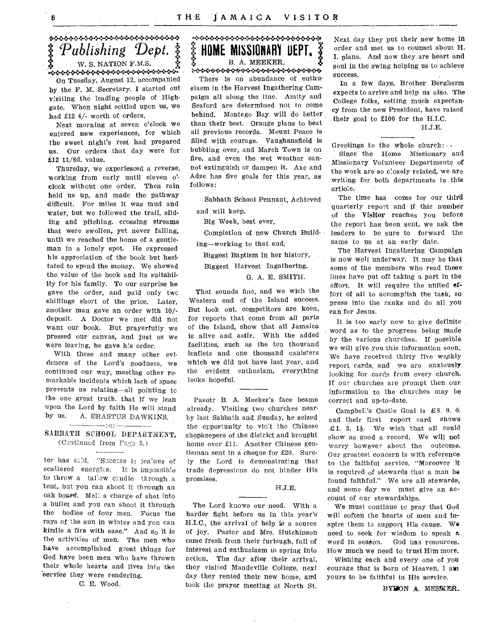\*\*\*\*\*\*\*\*\*\*\*\*\*\*\*\*\*\*\*\*\*\*\*\* *Publishing Dept. 5: .s. W.* S. NATION F.M.S. On Tuesday, August 12, accompanied by the F. M. Secretary. I started out visiting the leading people of Highgate. When night settled upon us, we had £12 4/- worth of orders.

Next morning at seven o'clock we entered new experiences, for which the sweet night's rest had prepared us. Our orders that day were for £12 11/6d. value.

Thursday, we experiesced a reverse, working from early until eleven o'clock without one order. Then rain held us up, and made the pathway difficult. For miles it was mud and water, but we followed the trail, sliding and pitching, crossing streams that were swollen, yet never falling, until we reached the home of a gentleman in a lonely spot. He expressed his appreciation of the book but hesitated to spend the money. We showed the value of the book and its suitability for his family. To our surprise he gave the order, and paid only twc shillings short of the price. Later, another man gave an order with 10/ deposit. A Doctor we met did not want our book. But prayerfully we pressed our canvas, and just as we were leaving, he gave his order.

With these and many other evidences of the Lord's goddness, we continued our way, meeting other remarkable incidents which lack of space prevents us relating—all pointing tc the one great truth, that if we lean upon the Lord by faith He will stand by us. A. ERASTUS DAWKINS.

#### $-$ :0: $-$ SABBATH SCHOOL DEPARTMENT. (Continued from Fago 5.)

ter has sald, "Success is jealous of scattered energies. It is impossible to throw a tallow candle through a tent, but you can shoot it through an oak board. Melt a charge of shot into a bullet and you can shoot it through the bodies of four men. Focus the rays of the sun in winter and you can kindle a fire with ease." And  $s_0$  it is the activities of men. The men who have accomplished great things for God haye been men who have thrown their whole hearts and lives into the service they were rendering.

C. E. Wood.

 $\lambda$ 

#### **HOME MISSIONARY ..rn-r 4**  医心理 B. A. MEEKER.

There is on abundance of enthusiasm in the Harvest Ingathering Campaign all along the line. Amity and Seaford are determined not to come behind. Montego Bay will do better than their best. Orange plans to heat all previous records. Mount Peace is filled with courage. Vaughansfield is bubbling over, and March Town is on fire, and even the wet weather cannot extinguish or dampen it. Axe and Adze has five goals for this year, as follows:

Sabbath School Pennant, Achieved

and will keep.

Big Week, best ever,

Completion of new Church Building—working to that end,

Biggest Baptism in her 'history,

#### Biggest Harvest Ingathering.

#### G. A. E. SMITH.

That sounds fine, and we wish the Western end of the Island success. But look out. competitors are keen, for reports that come from all parts of the Island, show that all Jamaica is alive and astir. With the added facilities, such as the ten thousand leaflets and one thousand canisters which we did not have last year, and the evident enthusiam, everything looks hopeful.

Pasotr B. A. Meeker's face beams already. Visiting two churches nearby last Sabbath and Sunday, he seized the opportunity to visit the Chinese shopkeepers of the district and brought home over £11. Another Chinese gentleman sent in a cheque for £20. Surely the Lord is demonstrating that trade depressions do not hinder His promises.

#### H.J.E.

The Lord knows our need. With a harder fight before us in this year's H.I.C., the arrival of help is a source of joy. Pastor and Mrs. Hutchinson came fresh from their furlough, full of interest and enthusiasm to spring into action. The day after their arrival, they visited Mandeville College, next day they rented their new home, and took the prayer meeting at North St.

Next day they put their new home in order and met us to counsel about H. I. plans. And now they, are heart and soul in the swing helping us to achieve success.

In a few days, Brother Bergherm expects to arrive and help us also. The College folks, setting much expectancy from the new President, have raised their goal to £100 for the H.I.C. H.J.E.

Greetings to the whole church: • - Since the Home Missionary and Missionary Volunteer Departments of the work are so closely related, we are writing for both departments in this artiole.

The time has come for our third quarterly report and if this number of the Visitor reaches you before the report has been sent, we ask the leaders to be sure to forward the same to us at an early date.

The Harvest Ingathering Campaign is now well underway. It may be that some of the members who read these lines have put off taking a part in the effort. It will require the united effort of all to accomplish the task, so press into the ranks and do all you can for Jesus.

It is too early now to give definite ward as to the progress being made by the various churches. If possible we will give you this information soon. We have received thirty five weekly report cards, and we are anxiously looking for cards from every church. If our churches are prompt then our information to the churches may be correct and up-to-date.

Campbell's Castle Goal is £8. 0. 0. and their first report card shows £1. 3. We wish that all could show as good a. record. We will not worry however about the outcome. Our greatest concern is with reference to the faithful service. "Moreover it is required of stewards that a man be found faithful." We are all stewards, and some day we must give an account of our stewardships.

We must continue to pray that God will soften the hearts of men and inspire them to support His cause. We need to seek for wisdom to speak a word in season. God has resources. How much we need to trust Him more.

Wishing each and every one of you courage that is born of Heaven, I am yours to be faithful in His service.

BYRON A. MEEKER.

8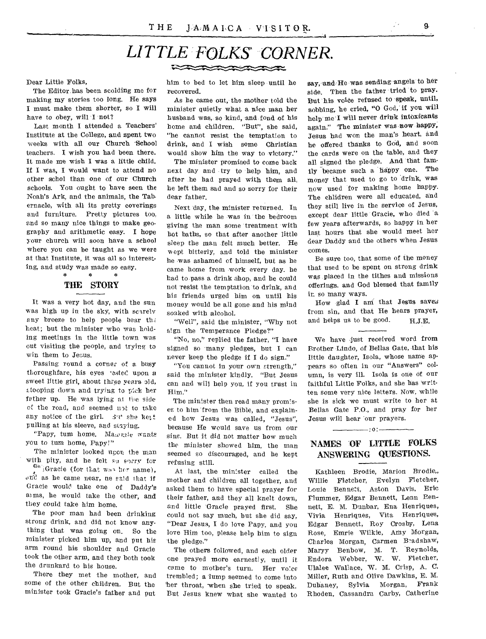### *LITTLE FOLKS' CORNER.*  RACKWACK

#### Dear Little Folks,

The Editor has been scolding me for making my stories too long. He says I must make them shorter, so I will have to obey, will I not?

Last month I attended a Teachers' Institute at the College, and spent two weeks with all our Church -School teachers. I wish you had been there. It made me wish I was a little child. If I was, I would want to attend no other schol than one of our Church schools. You ought to have seen the Noah's Ark, and the animals, the Tabernacle, with all its pretty coverings and furniture. Pretty pictures too, and so many nice things to make geography and arithmetic easy. I hope your church will soon have a school where you can be taught as we were at that Institute, it was all so interesting, and study was made so easy.<br>\* \* \* \* \*

### THE STORY

It was a very hot day, and the sun was high up in the sky, with scarely any breeze to help people bear th heat; but the minister who was holding meetings in the little town was out visiting the people, and trying to win them to Jesus.

Passing round a corner of a busy thoroughfare, his eyes 'ested upon a sweet little girl, about three years old, stooping down and trying to pick her father up. He was lying at the side ci the road, and seemed not to take any notice of the girl.  $3't'$  she kett. pulling at his sleeve, and staying.

"Papy, tum home. Mawnie wants you to tum home, Papy!"

The minister looked upon the man with pity, and he felt su sorry for

 $a^a$  Gracie (for that was her name),  $\sigma$ nd as he came near, ne said that if Gracie would take one of Daddy's ams, he would take the other, and they could take him home.

The poor man had been drinking strong drink, and did not know anything that was going on. So the minister picked him up, and put his arm round his shoulder and Gracie took the other arm, and they both took the drunkard to his house.

There they met the mother, and some of the other children. But the minister took Gracie's father and put

him to bed to let him sleep until he recovered.

As he came out, the mother told the minister quietly what a nice man her husband was, so kind, and fond of his home and children. "But", she said, "he cannot resist the temptation to drink, and I wish some Christian would show him the way to victory."

The minister promised to come back next day and try to help him, and after he had prayed with them all, he left them sad and so sorry for their dear father.

Next day, the minister returned. In a little while he was in the bedroom giving the man some treatment with hot baths, so that after another little sleep the man felt much better. He wept bitterly, and told the minister he was ashamed of himself, but as he came home from work every day. he had to pass a drink shop, and he could not resist the temptation to drink, and his friends urged him on until his money would be all gone and his mind soaked with alcohol.

"Well", said the minister, "Why not sign the Temperance Pledge?"

"No, no," replied the father, "I have signed so many pledges, but I can never keep the pledge if I do sign."

"You cannot in your own strength," said the minister kindly. "But Jesus can and will help you, if you trust in Him."

The minister then read many promises to him from the Bible, and explained how Jesus was called, "Jesus", because He would save us from our sins. But it did not matter how much the minister showed him, the man seemed so discouraged, and he kept refusing still.

At last, the minister called the mother and children all together, and asked them to have special prayer for their father, and they all knelt down, and little Gracie prayed first, She could not say much, but she did say, "Dear Jesus, I do love Papy, and you love Him too, please help him to sign the pledge."

The others followed, and each older one prayed more earnestly, until it came to mother's turn. Her voice trembled; a lump seemed to come into her throat, when she tried to speak. But Jesus knew what she wanted to say, sand He was sending angels to her side. Then the father tried to pray. But his voice refused to speak, until, sobbing, he cried, "0 God, if you will help me 'I will never drink intoxicants again." The minister was now happy, Jesus had won the man's heart. and he offered thanks to God, and soon the cards were on the table, and they all signed the pledge. And that family became such a happy one. The money that used to go to drink, was now used for making home happy. The children were all educated, and they still live in the service of Jesus, except dear little Gracie, who died a few years afterwards, so happy in her last hours that she would meet her dear Daddy and the others when Jesus comes.

Be sure too, that some of the money that used to be spent on strong drink was placed in the tithes and missions offerings. and God blessed that family in so many ways.

How glad I am that Jesus saves from sin, and that He hears prayer, and helps us to be good. H.J.E.

We have just received word from Brother Lindo, of Bellas Gate, that his little daughter, Isola, whose name appears so often in our "Answers" column, is very ill. Isola is one of our faithful Little Folks, and she has written some very nice letters. Now, while she is sick we must write to her at Bellas Gate P.O., and pray for her Jesus will hear our prayers.

#### NAMES OF LITTLE FOLKS ANSWERING QUESTIONS.

:o:

Kathleen Brodie, Marion Brodie,, Willie Fletcher, Evelyn Fletcher, Louie Bennett, Aston Davis, Eric Timmer, Edgar Bennett, Lenn Bennett, E. M. Dunbar, Ena Henriques, Vivia Henriques, Vita Henriques, Edgar Bennett, Roy Crosby, Lena Rose, Emrie Wilkie, Amy Morgan, Charles Morgan, Carmen Bradshaw, Maryy Benbow, Endora Webber, W. W. Fletcher, Ulalee Wallace, W. M. Crisp, A. C. Miller, Ruth and Olive Dawkins, E. M. Dulaney, Sylvia Morgan, Frank Rhoden, Cassandra Carby, Catherine